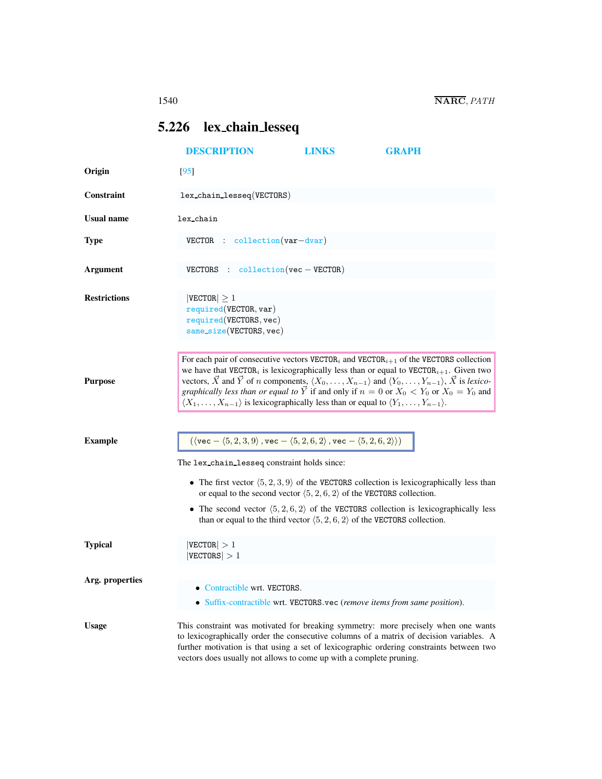## <span id="page-0-0"></span>5.226 lex chain lesseq

|                     | <b>DESCRIPTION</b>                                                                                                                                                                                                                                                                                                                                                                                                                                                                                                                                                                                                               | LINKS | <b>GRAPH</b>                                                                                         |  |
|---------------------|----------------------------------------------------------------------------------------------------------------------------------------------------------------------------------------------------------------------------------------------------------------------------------------------------------------------------------------------------------------------------------------------------------------------------------------------------------------------------------------------------------------------------------------------------------------------------------------------------------------------------------|-------|------------------------------------------------------------------------------------------------------|--|
| Origin              | $[95]$                                                                                                                                                                                                                                                                                                                                                                                                                                                                                                                                                                                                                           |       |                                                                                                      |  |
| <b>Constraint</b>   | lex_chain_lesseq(VECTORS)                                                                                                                                                                                                                                                                                                                                                                                                                                                                                                                                                                                                        |       |                                                                                                      |  |
| <b>Usual name</b>   | lex chain                                                                                                                                                                                                                                                                                                                                                                                                                                                                                                                                                                                                                        |       |                                                                                                      |  |
| <b>Type</b>         | $VECTOR$ : collection $(var-dvar)$                                                                                                                                                                                                                                                                                                                                                                                                                                                                                                                                                                                               |       |                                                                                                      |  |
| <b>Argument</b>     | $VECTORS: collection(vec - VECTOR)$                                                                                                                                                                                                                                                                                                                                                                                                                                                                                                                                                                                              |       |                                                                                                      |  |
| <b>Restrictions</b> | $ {\tt VECTOR}  \geq 1$<br>required(VECTOR, var)<br>required(VECTORS, vec)<br>$same\_size(VECTORS, vec)$                                                                                                                                                                                                                                                                                                                                                                                                                                                                                                                         |       |                                                                                                      |  |
| <b>Purpose</b>      | For each pair of consecutive vectors $VECTORi$ and $VECTORi+1$ of the VECTORS collection<br>we have that VECTOR <sub>i</sub> is lexicographically less than or equal to VECTOR <sub>i+1</sub> . Given two<br>vectors, $\vec{X}$ and $\vec{Y}$ of <i>n</i> components, $\langle X_0, \ldots, X_{n-1} \rangle$ and $\langle Y_0, \ldots, Y_{n-1} \rangle$ , $\vec{X}$ is lexico-<br><i>graphically less than or equal to</i> $\overrightarrow{Y}$ if and only if $n = 0$ or $X_0 < Y_0$ or $X_0 = Y_0$ and<br>$\langle X_1,\ldots,X_{n-1}\rangle$ is lexicographically less than or equal to $\langle Y_1,\ldots,Y_{n-1}\rangle$ . |       |                                                                                                      |  |
| <b>Example</b>      | $(\langle \text{vec} - \langle 5, 2, 3, 9 \rangle, \text{vec} - \langle 5, 2, 6, 2 \rangle, \text{vec} - \langle 5, 2, 6, 2 \rangle))$<br>The lex_chain_lesseq constraint holds since:                                                                                                                                                                                                                                                                                                                                                                                                                                           |       |                                                                                                      |  |
|                     | • The first vector $(5, 2, 3, 9)$ of the VECTORS collection is lexicographically less than<br>or equal to the second vector $\langle 5, 2, 6, 2 \rangle$ of the VECTORS collection.                                                                                                                                                                                                                                                                                                                                                                                                                                              |       |                                                                                                      |  |
|                     | than or equal to the third vector $\langle 5, 2, 6, 2 \rangle$ of the VECTORS collection.                                                                                                                                                                                                                                                                                                                                                                                                                                                                                                                                        |       | • The second vector $\langle 5, 2, 6, 2 \rangle$ of the VECTORS collection is lexicographically less |  |
| <b>Typical</b>      | $ \texttt{VECTOR}  > 1$<br> VECTORS  > 1                                                                                                                                                                                                                                                                                                                                                                                                                                                                                                                                                                                         |       |                                                                                                      |  |
| Arg. properties     | Contractible wrt. VECTORS.<br>• Suffix-contractible wrt. VECTORS.vec (remove items from same position).                                                                                                                                                                                                                                                                                                                                                                                                                                                                                                                          |       |                                                                                                      |  |
| <b>Usage</b>        | This constraint was motivated for breaking symmetry: more precisely when one wants<br>to lexicographically order the consecutive columns of a matrix of decision variables. A<br>further motivation is that using a set of lexicographic ordering constraints between two<br>vectors does usually not allows to come up with a complete pruning.                                                                                                                                                                                                                                                                                 |       |                                                                                                      |  |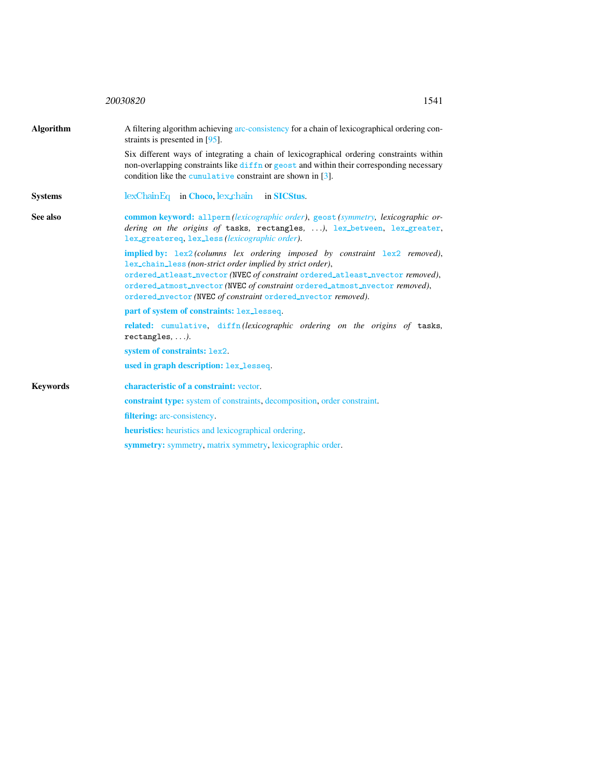<span id="page-1-0"></span>

|                  | 20030820<br>1541                                                                                                                                                                                                                                                                                                                                                                                                   |  |  |
|------------------|--------------------------------------------------------------------------------------------------------------------------------------------------------------------------------------------------------------------------------------------------------------------------------------------------------------------------------------------------------------------------------------------------------------------|--|--|
| <b>Algorithm</b> | A filtering algorithm achieving arc-consistency for a chain of lexicographical ordering con-<br>straints is presented in $[95]$ .                                                                                                                                                                                                                                                                                  |  |  |
|                  | Six different ways of integrating a chain of lexicographical ordering constraints within<br>non-overlapping constraints like diffn or geost and within their corresponding necessary<br>condition like the cumulative constraint are shown in [3].                                                                                                                                                                 |  |  |
| <b>Systems</b>   | $lexChainEq$ in Choco, $lex\_chain$ in SICStus.                                                                                                                                                                                                                                                                                                                                                                    |  |  |
| See also         | common keyword: allperm (lexicographic order), geost (symmetry, lexicographic or-<br>dering on the origins of tasks, rectangles, ), lex_between, lex_greater,<br>lex_greatereq, lex_less(lexicographic order).                                                                                                                                                                                                     |  |  |
|                  | <b>implied by:</b> $\text{lex2}(columns \text{ lex} ordering \text{ imposed by constraint } \text{lex2} removed)$ ,<br>lex_chain_less (non-strict order implied by strict order),<br>ordered_atleast_nvector (NVEC of constraint ordered_atleast_nvector removed),<br>ordered_atmost_nvector (NVEC of constraint ordered_atmost_nvector removed),<br>ordered_nvector (NVEC of constraint ordered_nvector removed). |  |  |
|                  | part of system of constraints: lex_lesseq.                                                                                                                                                                                                                                                                                                                                                                         |  |  |
|                  | related: cumulative, diffn(lexicographic ordering on the origins of tasks,<br>$rectangles, \ldots$ ).                                                                                                                                                                                                                                                                                                              |  |  |
|                  | system of constraints: lex2.                                                                                                                                                                                                                                                                                                                                                                                       |  |  |
|                  | used in graph description: lex_lesseq.                                                                                                                                                                                                                                                                                                                                                                             |  |  |
| <b>Keywords</b>  | characteristic of a constraint: vector.                                                                                                                                                                                                                                                                                                                                                                            |  |  |
|                  | <b>constraint type:</b> system of constraints, decomposition, order constraint.                                                                                                                                                                                                                                                                                                                                    |  |  |
|                  | <b>filtering:</b> arc-consistency.                                                                                                                                                                                                                                                                                                                                                                                 |  |  |
|                  | <b>heuristics:</b> heuristics and lexicographical ordering.                                                                                                                                                                                                                                                                                                                                                        |  |  |
|                  | symmetry: symmetry, matrix symmetry, lexicographic order.                                                                                                                                                                                                                                                                                                                                                          |  |  |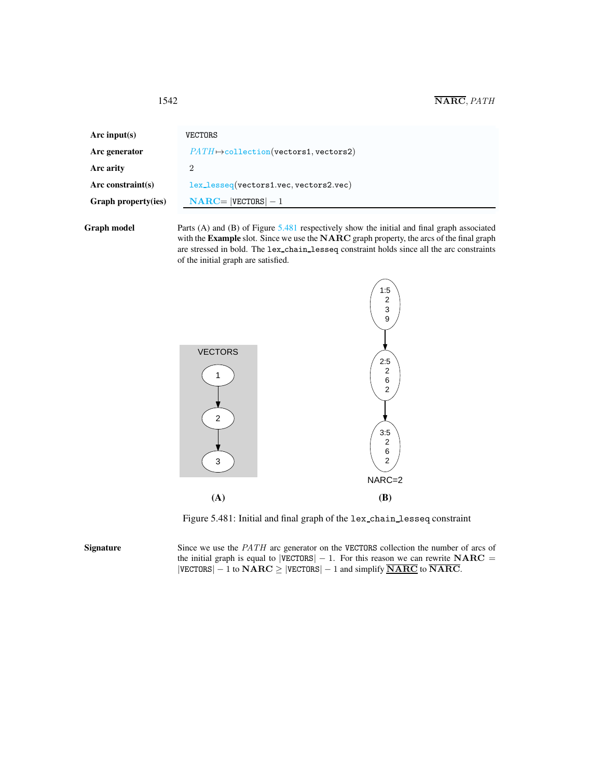| Arc input(s)         | VECTORS                                           |
|----------------------|---------------------------------------------------|
| Arc generator        | $PATH \rightarrow collection(vectors1, vectors2)$ |
| Arc arity            | 2                                                 |
| Arc constraint $(s)$ | lex_lesseq(vectors1.vec, vectors2.vec)            |
| Graph property(ies)  | $NARC =  VECTORS  - 1$                            |
|                      |                                                   |

Graph model Parts (A) and (B) of Figure [5.481](#page-2-1) respectively show the initial and final graph associated with the Example slot. Since we use the NARC graph property, the arcs of the final graph are stressed in bold. The lex chain lesseq constraint holds since all the arc constraints of the initial graph are satisfied.



<span id="page-2-1"></span>Figure 5.481: Initial and final graph of the lex chain lesseq constraint

Signature Since we use the *PATH* arc generator on the VECTORS collection the number of arcs of the initial graph is equal to  $|VECTORS| - 1$ . For this reason we can rewrite  $NARC =$  $|VECTORS| - 1$  to  $NARC \ge |VECTORS| - 1$  and simplify  $\overline{NARC}$  to  $\overline{NARC}$ .

<span id="page-2-0"></span>